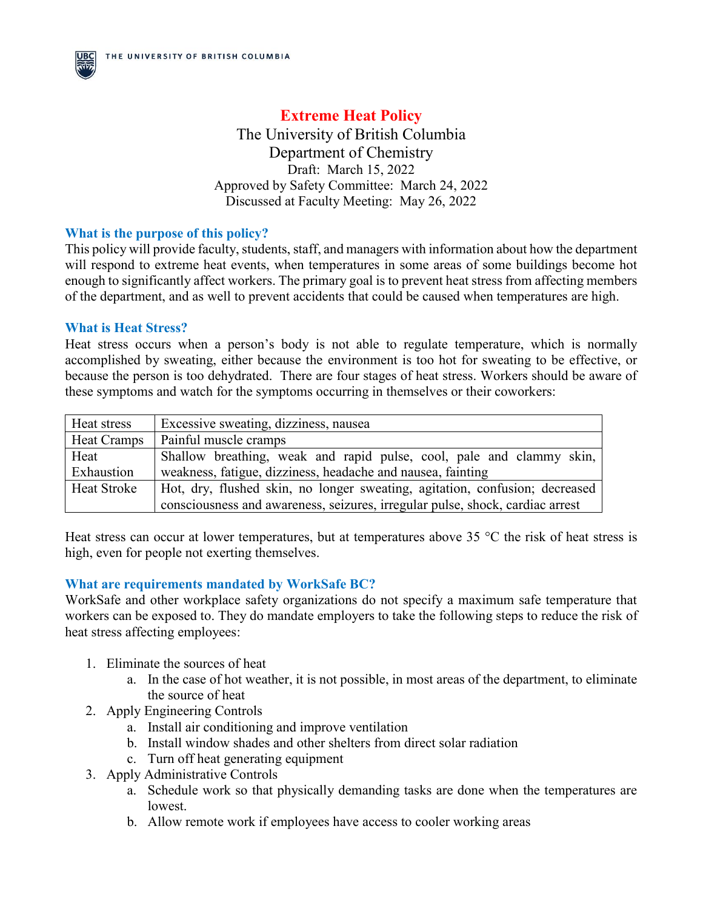**Extreme Heat Policy** The University of British Columbia Department of Chemistry Draft: March 15, 2022 Approved by Safety Committee: March 24, 2022 Discussed at Faculty Meeting: May 26, 2022

### **What is the purpose of this policy?**

This policy will provide faculty, students, staff, and managers with information about how the department will respond to extreme heat events, when temperatures in some areas of some buildings become hot enough to significantly affect workers. The primary goal is to prevent heat stress from affecting members of the department, and as well to prevent accidents that could be caused when temperatures are high.

### **What is Heat Stress?**

Heat stress occurs when a person's body is not able to regulate temperature, which is normally accomplished by sweating, either because the environment is too hot for sweating to be effective, or because the person is too dehydrated. There are four stages of heat stress. Workers should be aware of these symptoms and watch for the symptoms occurring in themselves or their coworkers:

| Heat stress        | Excessive sweating, dizziness, nausea                                         |  |  |
|--------------------|-------------------------------------------------------------------------------|--|--|
| Heat Cramps        | Painful muscle cramps                                                         |  |  |
| Heat               | Shallow breathing, weak and rapid pulse, cool, pale and clammy skin,          |  |  |
| Exhaustion         | weakness, fatigue, dizziness, headache and nausea, fainting                   |  |  |
| <b>Heat Stroke</b> | Hot, dry, flushed skin, no longer sweating, agitation, confusion; decreased   |  |  |
|                    | consciousness and awareness, seizures, irregular pulse, shock, cardiac arrest |  |  |

Heat stress can occur at lower temperatures, but at temperatures above 35 °C the risk of heat stress is high, even for people not exerting themselves.

### **What are requirements mandated by WorkSafe BC?**

WorkSafe and other workplace safety organizations do not specify a maximum safe temperature that workers can be exposed to. They do mandate employers to take the following steps to reduce the risk of heat stress affecting employees:

- 1. Eliminate the sources of heat
	- a. In the case of hot weather, it is not possible, in most areas of the department, to eliminate the source of heat
- 2. Apply Engineering Controls
	- a. Install air conditioning and improve ventilation
	- b. Install window shades and other shelters from direct solar radiation
	- c. Turn off heat generating equipment
- 3. Apply Administrative Controls
	- a. Schedule work so that physically demanding tasks are done when the temperatures are lowest.
	- b. Allow remote work if employees have access to cooler working areas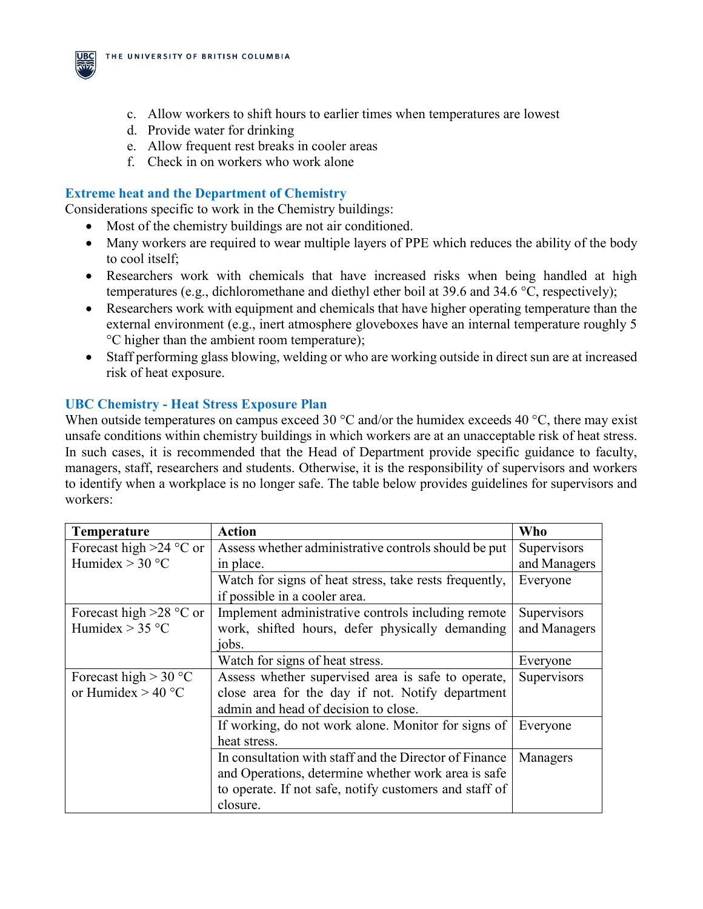

- d. Provide water for drinking
- e. Allow frequent rest breaks in cooler areas
- f. Check in on workers who work alone

# **Extreme heat and the Department of Chemistry**

Considerations specific to work in the Chemistry buildings:

- Most of the chemistry buildings are not air conditioned.
- Many workers are required to wear multiple layers of PPE which reduces the ability of the body to cool itself;
- Researchers work with chemicals that have increased risks when being handled at high temperatures (e.g., dichloromethane and diethyl ether boil at 39.6 and 34.6 °C, respectively);
- Researchers work with equipment and chemicals that have higher operating temperature than the external environment (e.g., inert atmosphere gloveboxes have an internal temperature roughly 5 °C higher than the ambient room temperature);
- Staff performing glass blowing, welding or who are working outside in direct sun are at increased risk of heat exposure.

# **UBC Chemistry - Heat Stress Exposure Plan**

When outside temperatures on campus exceed 30  $\degree$ C and/or the humidex exceeds 40  $\degree$ C, there may exist unsafe conditions within chemistry buildings in which workers are at an unacceptable risk of heat stress. In such cases, it is recommended that the Head of Department provide specific guidance to faculty, managers, staff, researchers and students. Otherwise, it is the responsibility of supervisors and workers to identify when a workplace is no longer safe. The table below provides guidelines for supervisors and workers:

| <b>Temperature</b>        | <b>Action</b>                                          | Who          |
|---------------------------|--------------------------------------------------------|--------------|
| Forecast high $>24$ °C or | Assess whether administrative controls should be put   | Supervisors  |
| Humidex $>$ 30 °C         | in place.                                              | and Managers |
|                           | Watch for signs of heat stress, take rests frequently, | Everyone     |
|                           | if possible in a cooler area.                          |              |
| Forecast high $>28$ °C or | Implement administrative controls including remote     | Supervisors  |
| Humidex $> 35$ °C         | work, shifted hours, defer physically demanding        | and Managers |
|                           | jobs.                                                  |              |
|                           | Watch for signs of heat stress.                        | Everyone     |
| Forecast high $> 30 °C$   | Assess whether supervised area is safe to operate,     | Supervisors  |
| or Humidex $> 40$ °C      | close area for the day if not. Notify department       |              |
|                           | admin and head of decision to close.                   |              |
|                           | If working, do not work alone. Monitor for signs of    | Everyone     |
|                           | heat stress.                                           |              |
|                           | In consultation with staff and the Director of Finance | Managers     |
|                           | and Operations, determine whether work area is safe    |              |
|                           | to operate. If not safe, notify customers and staff of |              |
|                           | closure.                                               |              |